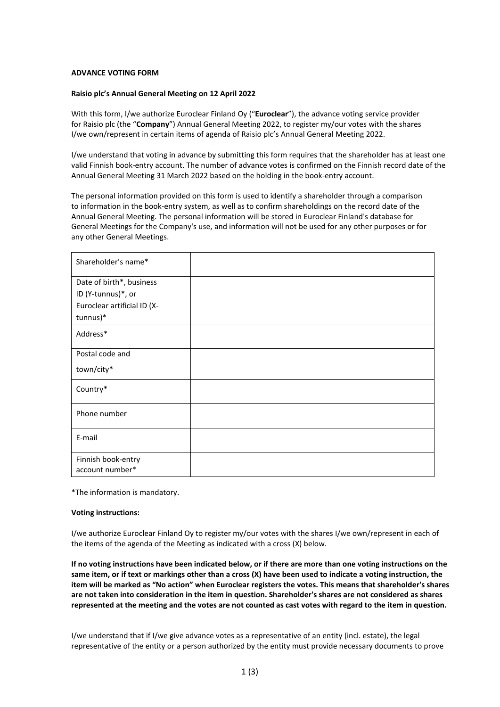## **ADVANCE VOTING FORM**

## **Raisio plc's Annual General Meeting on 12 April 2022**

With this form, I/we authorize Euroclear Finland Oy ("**Euroclear**"), the advance voting service provider for Raisio plc (the "**Company**") Annual General Meeting 2022, to register my/our votes with the shares I/we own/represent in certain items of agenda of Raisio plc's Annual General Meeting 2022.

I/we understand that voting in advance by submitting this form requires that the shareholder has at least one valid Finnish book-entry account. The number of advance votes is confirmed on the Finnish record date of the Annual General Meeting 31 March 2022 based on the holding in the book-entry account.

The personal information provided on this form is used to identify a shareholder through a comparison to information in the book-entry system, as well as to confirm shareholdings on the record date of the Annual General Meeting. The personal information will be stored in Euroclear Finland's database for General Meetings for the Company's use, and information will not be used for any other purposes or for any other General Meetings.

| Shareholder's name*         |  |
|-----------------------------|--|
| Date of birth*, business    |  |
| ID (Y-tunnus)*, or          |  |
| Euroclear artificial ID (X- |  |
| tunnus)*                    |  |
| Address*                    |  |
| Postal code and             |  |
| town/city*                  |  |
| Country*                    |  |
| Phone number                |  |
| E-mail                      |  |
| Finnish book-entry          |  |
| account number*             |  |

\*The information is mandatory.

## **Voting instructions:**

I/we authorize Euroclear Finland Oy to register my/our votes with the shares I/we own/represent in each of the items of the agenda of the Meeting as indicated with a cross (X) below.

**If no voting instructions have been indicated below, or if there are more than one voting instructions on the same item, or if text or markings other than a cross (X) have been used to indicate a voting instruction, the item will be marked as "No action" when Euroclear registers the votes. This means that shareholder's shares are not taken into consideration in the item in question. Shareholder's shares are not considered as shares represented at the meeting and the votes are not counted as cast votes with regard to the item in question.** 

I/we understand that if I/we give advance votes as a representative of an entity (incl. estate), the legal representative of the entity or a person authorized by the entity must provide necessary documents to prove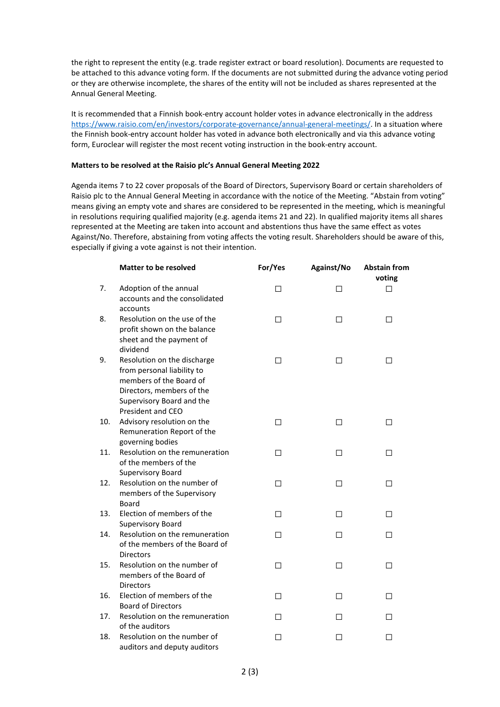the right to represent the entity (e.g. trade register extract or board resolution). Documents are requested to be attached to this advance voting form. If the documents are not submitted during the advance voting period or they are otherwise incomplete, the shares of the entity will not be included as shares represented at the Annual General Meeting.

It is recommended that a Finnish book-entry account holder votes in advance electronically in the address [https://www.raisio.com/en/investors/corporate-governance/annual-general-meetings/.](https://www.raisio.com/en/investors/corporate-governance/annual-general-meetings/) In a situation where the Finnish book-entry account holder has voted in advance both electronically and via this advance voting form, Euroclear will register the most recent voting instruction in the book-entry account.

## **Matters to be resolved at the Raisio plc's Annual General Meeting 2022**

Agenda items 7 to 22 cover proposals of the Board of Directors, Supervisory Board or certain shareholders of Raisio plc to the Annual General Meeting in accordance with the notice of the Meeting. "Abstain from voting" means giving an empty vote and shares are considered to be represented in the meeting, which is meaningful in resolutions requiring qualified majority (e.g. agenda items 21 and 22). In qualified majority items all shares represented at the Meeting are taken into account and abstentions thus have the same effect as votes Against/No. Therefore, abstaining from voting affects the voting result. Shareholders should be aware of this, especially if giving a vote against is not their intention.

|     | <b>Matter to be resolved</b>                                                                                                                                        | For/Yes | Against/No | <b>Abstain from</b><br>voting |
|-----|---------------------------------------------------------------------------------------------------------------------------------------------------------------------|---------|------------|-------------------------------|
| 7.  | Adoption of the annual<br>accounts and the consolidated<br>accounts                                                                                                 | ◻       | □          | П                             |
| 8.  | Resolution on the use of the<br>profit shown on the balance<br>sheet and the payment of<br>dividend                                                                 | □       | □          | □                             |
| 9.  | Resolution on the discharge<br>from personal liability to<br>members of the Board of<br>Directors, members of the<br>Supervisory Board and the<br>President and CEO | $\Box$  | $\Box$     | □                             |
| 10. | Advisory resolution on the<br>Remuneration Report of the<br>governing bodies                                                                                        | □       | □          | □                             |
| 11. | Resolution on the remuneration<br>of the members of the<br><b>Supervisory Board</b>                                                                                 | П       | П          | П                             |
| 12. | Resolution on the number of<br>members of the Supervisory<br>Board                                                                                                  | П       | П          | П                             |
| 13. | Election of members of the<br>Supervisory Board                                                                                                                     | □       | □          | П                             |
| 14. | Resolution on the remuneration<br>of the members of the Board of<br><b>Directors</b>                                                                                | □       | □          | П                             |
| 15. | Resolution on the number of<br>members of the Board of<br><b>Directors</b>                                                                                          | □       | □          | □                             |
| 16. | Election of members of the<br><b>Board of Directors</b>                                                                                                             | П       | П          | П                             |
| 17. | Resolution on the remuneration<br>of the auditors                                                                                                                   | П       | П          | П                             |
| 18. | Resolution on the number of<br>auditors and deputy auditors                                                                                                         | П       | П          | П                             |